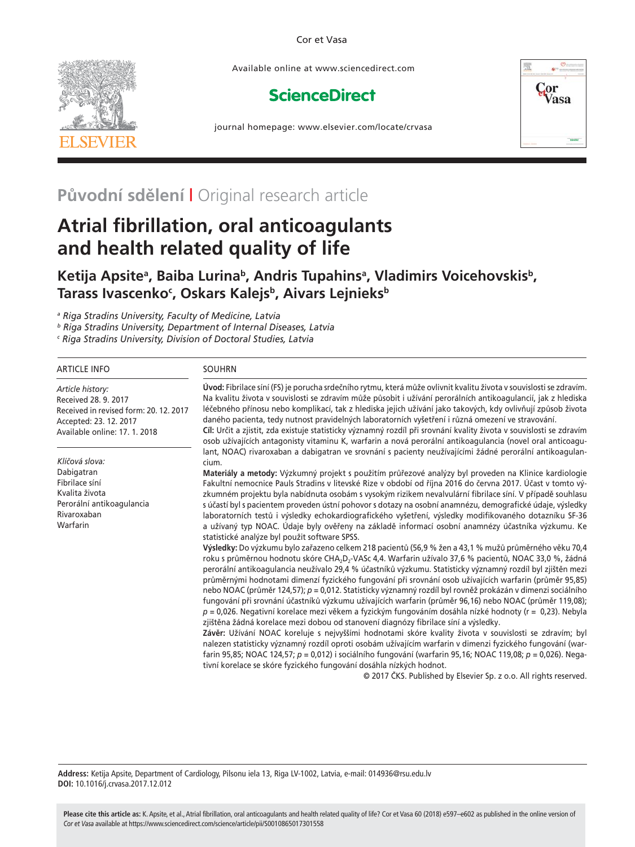### Cor et Vasa



Available online at www.sciencedirect.com

# **ScienceDirect**



journal homepage: www.elsevier.com/locate/crvasa

# **Původní sdělení |** Original research article

# **Atrial fibrillation, oral anticoagulants and health related quality of life**

# Ketija Apsite<sup>a</sup>, Baiba Lurina<sup>b</sup>, Andris Tupahins<sup>a</sup>, Vladimirs Voicehovskis<sup>b</sup>, Tarass Ivascenko<sup>c</sup>, Oskars Kalejs<sup>b</sup>, Aivars Lejnieks<sup>b</sup>

*a Riga Stradins University, Faculty of Medicine, Latvia*

*b Riga Stradins University, Department of Internal Diseases, Latvia*

*c Riga Stradins University, Division of Doctoral Studies, Latvia*

| <b>ARTICLE INFO</b>                                                                                                                           | <b>SOUHRN</b>                                                                                                                                                                                                                                                                                                                                                                                                                                                                                                                                                                                                                                                                                                                                                                                                                                                                                                                                                                                                                                                                                                                                                                                                                                                                                                                                                                                                                                                                                                                                                                                                                                                                                                           |  |
|-----------------------------------------------------------------------------------------------------------------------------------------------|-------------------------------------------------------------------------------------------------------------------------------------------------------------------------------------------------------------------------------------------------------------------------------------------------------------------------------------------------------------------------------------------------------------------------------------------------------------------------------------------------------------------------------------------------------------------------------------------------------------------------------------------------------------------------------------------------------------------------------------------------------------------------------------------------------------------------------------------------------------------------------------------------------------------------------------------------------------------------------------------------------------------------------------------------------------------------------------------------------------------------------------------------------------------------------------------------------------------------------------------------------------------------------------------------------------------------------------------------------------------------------------------------------------------------------------------------------------------------------------------------------------------------------------------------------------------------------------------------------------------------------------------------------------------------------------------------------------------------|--|
| Article history:<br>Received 28, 9, 2017<br>Received in revised form: 20, 12, 2017<br>Accepted: 23. 12. 2017<br>Available online: 17. 1. 2018 | Úvod: Fibrilace síní (FS) je porucha srdečního rytmu, která může ovlivnit kvalitu života v souvislosti se zdravím.<br>Na kvalitu života v souvislosti se zdravím může působit i užívání perorálních antikoagulancií, jak z hlediska<br>léčebného přínosu nebo komplikací, tak z hlediska jejich užívání jako takových, kdy ovlivňují způsob života<br>daného pacienta, tedy nutnost pravidelných laboratorních vyšetření i různá omezení ve stravování.<br>Cíl: Určit a zjistit, zda existuje statisticky významný rozdíl při srovnání kvality života v souvislosti se zdravím<br>osob užívajících antagonisty vitaminu K, warfarin a nová perorální antikoagulancia (novel oral anticoagu-                                                                                                                                                                                                                                                                                                                                                                                                                                                                                                                                                                                                                                                                                                                                                                                                                                                                                                                                                                                                                             |  |
| Klíčová slova:                                                                                                                                | lant, NOAC) rivaroxaban a dabigatran ve srovnání s pacienty neužívajícími žádné perorální antikoagulan-<br>cium.                                                                                                                                                                                                                                                                                                                                                                                                                                                                                                                                                                                                                                                                                                                                                                                                                                                                                                                                                                                                                                                                                                                                                                                                                                                                                                                                                                                                                                                                                                                                                                                                        |  |
| Dabigatran<br>Fibrilace síní<br>Kvalita života<br>Perorální antikoagulancia<br>Rivaroxaban<br>Warfarin                                        | Materiály a metody: Výzkumný projekt s použitím průřezové analýzy byl proveden na Klinice kardiologie<br>Fakultní nemocnice Pauls Stradins v litevské Rize v období od října 2016 do června 2017. Účast v tomto vý-<br>zkumném projektu byla nabídnuta osobám s vysokým rizikem nevalvulární fibrilace síní. V případě souhlasu<br>s účastí byl s pacientem proveden ústní pohovor s dotazy na osobní anamnézu, demografické údaje, výsledky<br>laboratorních testů i výsledky echokardiografického vyšetření, výsledky modifikovaného dotazníku SF-36<br>a užívaný typ NOAC. Údaje byly ověřeny na základě informací osobní anamnézy účastníka výzkumu. Ke<br>statistické analýze byl použit software SPSS.<br>Výsledky: Do výzkumu bylo zařazeno celkem 218 pacientů (56,9 % žen a 43,1 % mužů průměrného věku 70,4<br>roku s průměrnou hodnotu skóre CHA <sub>2</sub> D <sub>2</sub> -VASc 4,4. Warfarin užívalo 37,6 % pacientů, NOAC 33,0 %, žádná<br>perorální antikoagulancia neužívalo 29,4 % účastníků výzkumu. Statisticky významný rozdíl byl zjištěn mezi<br>průměrnými hodnotami dimenzí fyzického fungování při srovnání osob užívajících warfarin (průměr 95,85)<br>nebo NOAC (průměr 124,57); p = 0,012. Statisticky významný rozdíl byl rovněž prokázán v dimenzi sociálního<br>fungování při srovnání účastníků výzkumu užívajících warfarin (průměr 96,16) nebo NOAC (průměr 119,08);<br>$p = 0.026$ . Negativní korelace mezi věkem a fyzickým fungováním dosáhla nízké hodnoty (r = 0,23). Nebyla<br>zjištěna žádná korelace mezi dobou od stanovení diagnózy fibrilace síní a výsledky.<br>Závěr: Užívání NOAC koreluje s nejvyššími hodnotami skóre kvality života v souvislosti se zdravím; byl |  |
|                                                                                                                                               | nalezen statisticky významný rozdíl oproti osobám užívajícím warfarin v dimenzi fyzického fungování (war-<br>farin 95,85; NOAC 124,57; p = 0,012) i sociálního fungování (warfarin 95,16; NOAC 119,08; p = 0,026). Nega-<br>tivní korelace se skóre fyzického fungování dosáhla nízkých hodnot.<br>@ 2017 ČKC, Bublished by Elsovias Sp. z o.o., All rights recepted                                                                                                                                                                                                                                                                                                                                                                                                                                                                                                                                                                                                                                                                                                                                                                                                                                                                                                                                                                                                                                                                                                                                                                                                                                                                                                                                                    |  |

© 2017 ČKS. Published by Elsevier Sp. z o.o. All rights reserved.

**Address:** Ketija Apsite, Department of Cardiology, Pilsonu iela 13, Riga LV-1002, Latvia, e-mail: 014936@rsu.edu.lv **DOI:** 10.1016/j.crvasa.2017.12.012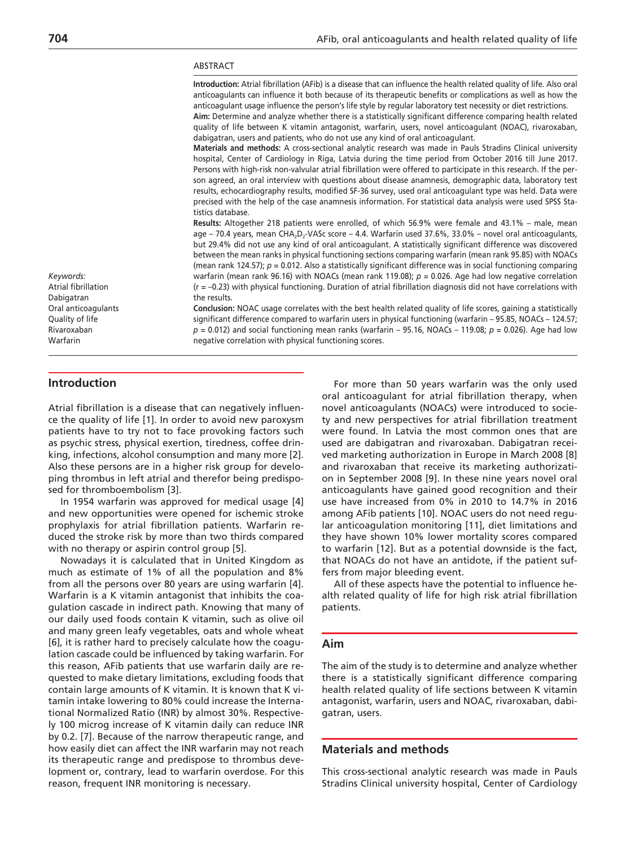#### ABSTRACT

Introduction: Atrial fibrillation (AFib) is a disease that can influence the health related quality of life. Also oral anticoagulants can influence it both because of its therapeutic benefits or complications as well as how the anticoagulant usage influence the person's life style by regular laboratory test necessity or diet restrictions. Aim: Determine and analyze whether there is a statistically significant difference comparing health related quality of life between K vitamin antagonist, warfarin, users, novel anticoagulant (NOAC), rivaroxaban, dabigatran, users and patients, who do not use any kind of oral anticoagulant. **Materials and methods:** A cross-sectional analytic research was made in Pauls Stradins Clinical university hospital, Center of Cardiology in Riga, Latvia during the time period from October 2016 till June 2017. Persons with high-risk non-valvular atrial fibrillation were offered to participate in this research. If the person agreed, an oral interview with questions about disease anamnesis, demographic data, laboratory test results, echocardiography results, modified SF-36 survey, used oral anticoagulant type was held. Data were precised with the help of the case anamnesis information. For statistical data analysis were used SPSS Statistics database. **Results:** Altogether 218 patients were enrolled, of which 56.9% were female and 43.1% – male, mean age – 70.4 years, mean CHA<sub>2</sub>D<sub>2</sub>-VASc score – 4.4. Warfarin used 37.6%, 33.0% – novel oral anticoagulants, but 29.4% did not use any kind of oral anticoagulant. A statistically significant difference was discovered between the mean ranks in physical functioning sections comparing warfarin (mean rank 95.85) with NOACs (mean rank 124.57);  $p = 0.012$ . Also a statistically significant difference was in social functioning comparing warfarin (mean rank 96.16) with NOACs (mean rank 119.08);  $p = 0.026$ . Age had low negative correlation  $(r = -0.23)$  with physical functioning. Duration of atrial fibrillation diagnosis did not have correlations with the results. **Conclusion:** NOAC usage correlates with the best health related quality of life scores, gaining a statistically significant difference compared to warfarin users in physical functioning (warfarin – 95.85, NOACs – 124.57;  $p = 0.012$ ) and social functioning mean ranks (warfarin – 95.16, NOACs – 119.08;  $p = 0.026$ ). Age had low negative correlation with physical functioning scores. *Keywords:* Atrial fibrillation Dabigatran Oral anticoagulants Quality of life Rivaroxaban Warfarin

# **Introduction**

Atrial fibrillation is a disease that can negatively influence the quality of life [1]. In order to avoid new paroxysm patients have to try not to face provoking factors such as psychic stress, physical exertion, tiredness, coffee drinking, infections, alcohol consumption and many more [2]. Also these persons are in a higher risk group for developing thrombus in left atrial and therefor being predisposed for thromboembolism [3].

In 1954 warfarin was approved for medical usage [4] and new opportunities were opened for ischemic stroke prophylaxis for atrial fibrillation patients. Warfarin reduced the stroke risk by more than two thirds compared with no therapy or aspirin control group [5].

Nowadays it is calculated that in United Kingdom as much as estimate of 1% of all the population and 8% from all the persons over 80 years are using warfarin [4]. Warfarin is a K vitamin antagonist that inhibits the coagulation cascade in indirect path. Knowing that many of our daily used foods contain K vitamin, such as olive oil and many green leafy vegetables, oats and whole wheat [6], it is rather hard to precisely calculate how the coagulation cascade could be influenced by taking warfarin. For this reason, AFib patients that use warfarin daily are requested to make dietary limitations, excluding foods that contain large amounts of K vitamin. It is known that K vitamin intake lowering to 80% could increase the International Normalized Ratio (INR) by almost 30%. Respectively 100 microg increase of K vitamin daily can reduce INR by 0.2. [7]. Because of the narrow therapeutic range, and how easily diet can affect the INR warfarin may not reach its therapeutic range and predispose to thrombus development or, contrary, lead to warfarin overdose. For this reason, frequent INR monitoring is necessary.

For more than 50 years warfarin was the only used oral anticoagulant for atrial fibrillation therapy, when novel anticoagulants (NOACs) were introduced to society and new perspectives for atrial fibrillation treatment were found. In Latvia the most common ones that are used are dabigatran and rivaroxaban. Dabigatran received marketing authorization in Europe in March 2008 [8] and rivaroxaban that receive its marketing authorization in September 2008 [9]. In these nine years novel oral anticoagulants have gained good recognition and their use have increased from 0% in 2010 to 14.7% in 2016 among AFib patients [10]. NOAC users do not need regular anticoagulation monitoring [11], diet limitations and they have shown 10% lower mortality scores compared to warfarin [12]. But as a potential downside is the fact, that NOACs do not have an antidote, if the patient suffers from major bleeding event.

All of these aspects have the potential to influence health related quality of life for high risk atrial fibrillation patients.

## **Aim**

The aim of the study is to determine and analyze whether there is a statistically significant difference comparing health related quality of life sections between K vitamin antagonist, warfarin, users and NOAC, rivaroxaban, dabigatran, users.

# **Materials and methods**

This cross-sectional analytic research was made in Pauls Stradins Clinical university hospital, Center of Cardiology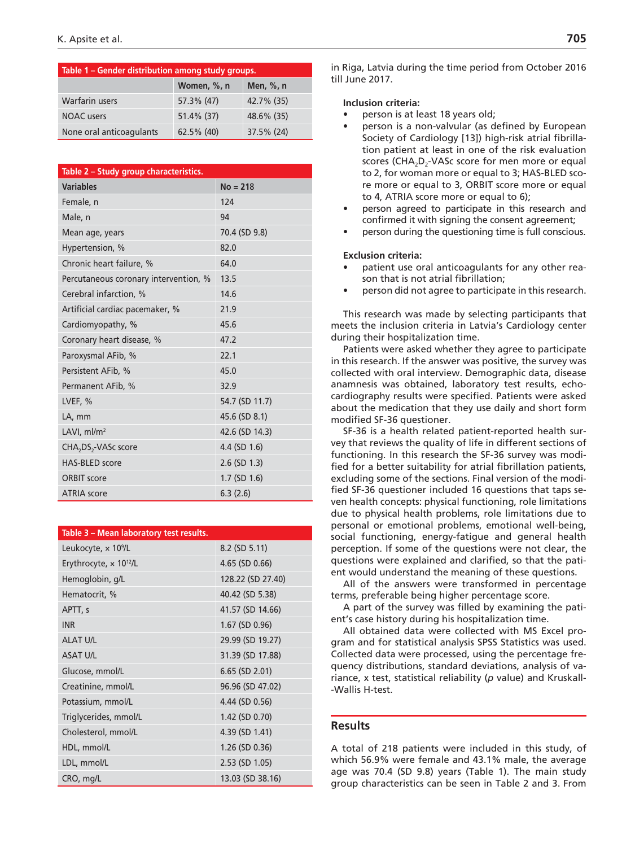| Table 1 - Gender distribution among study groups. |             |            |  |  |  |
|---------------------------------------------------|-------------|------------|--|--|--|
|                                                   | Women, %, n | Men, %, n  |  |  |  |
| Warfarin users                                    | 57.3% (47)  | 42.7% (35) |  |  |  |
| <b>NOAC</b> users                                 | 51.4% (37)  | 48.6% (35) |  |  |  |
| None oral anticoagulants                          | 62.5% (40)  | 37.5% (24) |  |  |  |

| Table 2 - Study group characteristics.       |                   |  |  |  |
|----------------------------------------------|-------------------|--|--|--|
| <b>Variables</b>                             | $No = 218$        |  |  |  |
| Female, n                                    | 124               |  |  |  |
| Male, n                                      | 94                |  |  |  |
| Mean age, years                              | 70.4 (SD 9.8)     |  |  |  |
| Hypertension, %                              | 82.0              |  |  |  |
| Chronic heart failure, %                     | 64.0              |  |  |  |
| Percutaneous coronary intervention, %        | 13.5              |  |  |  |
| Cerebral infarction, %                       | 14.6              |  |  |  |
| Artificial cardiac pacemaker, %              | 21.9              |  |  |  |
| Cardiomyopathy, %                            | 45.6              |  |  |  |
| Coronary heart disease, %                    | 47.2              |  |  |  |
| Paroxysmal AFib, %                           | 22.1              |  |  |  |
| Persistent AFib, %                           | 45.0              |  |  |  |
| Permanent AFib, %                            | 32.9              |  |  |  |
| LVEF, %                                      | 54.7 (SD 11.7)    |  |  |  |
| LA, mm                                       | 45.6 (SD 8.1)     |  |  |  |
| LAVI, $ml/m2$                                | 42.6 (SD 14.3)    |  |  |  |
| CHA <sub>2</sub> DS <sub>2</sub> -VASc score | 4.4 (SD 1.6)      |  |  |  |
| <b>HAS-BLED</b> score                        | $2.6$ (SD 1.3)    |  |  |  |
| <b>ORBIT score</b>                           | $1.7$ (SD $1.6$ ) |  |  |  |
| <b>ATRIA</b> score                           | 6.3(2.6)          |  |  |  |

| Table 3 - Mean laboratory test results.   |                   |  |
|-------------------------------------------|-------------------|--|
| Leukocyte, x 10 <sup>9</sup> /L           | 8.2 (SD 5.11)     |  |
| Erythrocyte, $\times$ 10 <sup>12</sup> /L | 4.65 (SD 0.66)    |  |
| Hemoglobin, g/L                           | 128.22 (SD 27.40) |  |
| Hematocrit, %                             | 40.42 (SD 5.38)   |  |
| APTT, s                                   | 41.57 (SD 14.66)  |  |
| <b>INR</b>                                | $1.67$ (SD 0.96)  |  |
| <b>ALAT U/L</b>                           | 29.99 (SD 19.27)  |  |
| <b>ASAT U/L</b>                           | 31.39 (SD 17.88)  |  |
| Glucose, mmol/L                           | $6.65$ (SD 2.01)  |  |
| Creatinine, mmol/L                        | 96.96 (SD 47.02)  |  |
| Potassium, mmol/L                         | 4.44 (SD 0.56)    |  |
| Triglycerides, mmol/L                     | 1.42 (SD 0.70)    |  |
| Cholesterol, mmol/L                       | 4.39 (SD 1.41)    |  |
| HDL, mmol/L                               | 1.26 (SD 0.36)    |  |
| LDL, mmol/L                               | 2.53 (SD 1.05)    |  |
| CRO, mg/L                                 | 13.03 (SD 38.16)  |  |

in Riga, Latvia during the time period from October 2016 till June 2017.

# **Inclusion criteria:**

- person is at least 18 years old;
- person is a non-valvular (as defined by European Society of Cardiology [13]) high-risk atrial fibrillation patient at least in one of the risk evaluation scores (CHA<sub>2</sub>D<sub>2</sub>-VASc score for men more or equal to 2, for woman more or equal to 3; HAS-BLED score more or equal to 3, ORBIT score more or equal to 4, ATRIA score more or equal to 6);
- person agreed to participate in this research and confirmed it with signing the consent agreement;
- person during the questioning time is full conscious.

# **Exclusion criteria:**

- patient use oral anticoagulants for any other reason that is not atrial fibrillation;
- person did not agree to participate in this research.

This research was made by selecting participants that meets the inclusion criteria in Latvia's Cardiology center during their hospitalization time.

Patients were asked whether they agree to participate in this research. If the answer was positive, the survey was collected with oral interview. Demographic data, disease anamnesis was obtained, laboratory test results, echocardiography results were specified. Patients were asked about the medication that they use daily and short form modified SF-36 questioner.

SF-36 is a health related patient-reported health survey that reviews the quality of life in different sections of functioning. In this research the SF-36 survey was modified for a better suitability for atrial fibrillation patients, excluding some of the sections. Final version of the modified SF-36 questioner included 16 questions that taps seven health concepts: physical functioning, role limitations due to physical health problems, role limitations due to personal or emotional problems, emotional well-being, social functioning, energy-fatigue and general health perception. If some of the questions were not clear, the questions were explained and clarified, so that the patient would understand the meaning of these questions.

All of the answers were transformed in percentage terms, preferable being higher percentage score.

A part of the survey was filled by examining the patient's case history during his hospitalization time.

All obtained data were collected with MS Excel program and for statistical analysis SPSS Statistics was used. Collected data were processed, using the percentage frequency distributions, standard deviations, analysis of variance, x test, statistical reliability (*p* value) and Kruskall- -Wallis H-test.

# **Results**

A total of 218 patients were included in this study, of which 56.9% were female and 43.1% male, the average age was 70.4 (SD 9.8) years (Table 1). The main study group characteristics can be seen in Table 2 and 3. From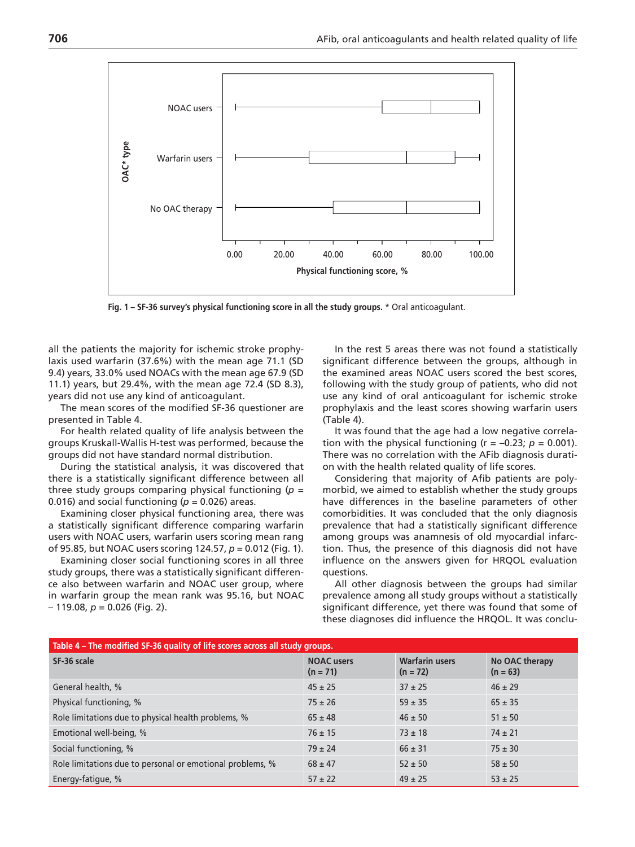

**Fig. 1 – SF-36 survey's physical functioning score in all the study groups.** \* Oral anticoagulant.

all the patients the majority for ischemic stroke prophylaxis used warfarin (37.6%) with the mean age 71.1 (SD 9.4) years, 33.0% used NOACs with the mean age 67.9 (SD 11.1) years, but 29.4%, with the mean age 72.4 (SD 8.3), years did not use any kind of anticoagulant.

The mean scores of the modified SF-36 questioner are presented in Table 4.

For health related quality of life analysis between the groups Kruskall-Wallis H-test was performed, because the groups did not have standard normal distribution.

During the statistical analysis, it was discovered that there is a statistically significant difference between all three study groups comparing physical functioning (*p* = 0.016) and social functioning ( $p = 0.026$ ) areas.

Examining closer physical functioning area, there was a statistically significant difference comparing warfarin users with NOAC users, warfarin users scoring mean rang of 95.85, but NOAC users scoring 124.57, *p* = 0.012 (Fig. 1).

Examining closer social functioning scores in all three study groups, there was a statistically significant difference also between warfarin and NOAC user group, where in warfarin group the mean rank was 95.16, but NOAC  $-119.08$ ,  $p = 0.026$  (Fig. 2).

In the rest 5 areas there was not found a statistically significant difference between the groups, although in the examined areas NOAC users scored the best scores, following with the study group of patients, who did not use any kind of oral anticoagulant for ischemic stroke prophylaxis and the least scores showing warfarin users (Table 4).

It was found that the age had a low negative correlation with the physical functioning  $(r = -0.23; p = 0.001)$ . There was no correlation with the AFib diagnosis duration with the health related quality of life scores.

Considering that majority of Afib patients are polymorbid, we aimed to establish whether the study groups have differences in the baseline parameters of other comorbidities. It was concluded that the only diagnosis prevalence that had a statistically significant difference among groups was anamnesis of old myocardial infarction. Thus, the presence of this diagnosis did not have influence on the answers given for HRQOL evaluation questions.

All other diagnosis between the groups had similar prevalence among all study groups without a statistically significant difference, yet there was found that some of these diagnoses did influence the HRQOL. It was conclu-

| Table 4 – The modified SF-36 quality of life scores across all study groups. |                                 |                                     |                              |  |  |  |
|------------------------------------------------------------------------------|---------------------------------|-------------------------------------|------------------------------|--|--|--|
| SF-36 scale                                                                  | <b>NOAC</b> users<br>$(n = 71)$ | <b>Warfarin users</b><br>$(n = 72)$ | No OAC therapy<br>$(n = 63)$ |  |  |  |
| General health, %                                                            | $45 \pm 25$                     | $37 \pm 25$                         | $46 \pm 29$                  |  |  |  |
| Physical functioning, %                                                      | $75 \pm 26$                     | $59 \pm 35$                         | $65 \pm 35$                  |  |  |  |
| Role limitations due to physical health problems, %                          | $65 \pm 48$                     | $46 \pm 50$                         | $51 \pm 50$                  |  |  |  |
| Emotional well-being, %                                                      | $76 \pm 15$                     | $73 \pm 18$                         | $74 \pm 21$                  |  |  |  |
| Social functioning, %                                                        | $79 \pm 24$                     | $66 \pm 31$                         | $75 \pm 30$                  |  |  |  |
| Role limitations due to personal or emotional problems, %                    | $68 \pm 47$                     | $52 \pm 50$                         | $58 \pm 50$                  |  |  |  |
| Energy-fatique, %                                                            | $57 \pm 22$                     | $49 \pm 25$                         | $53 \pm 25$                  |  |  |  |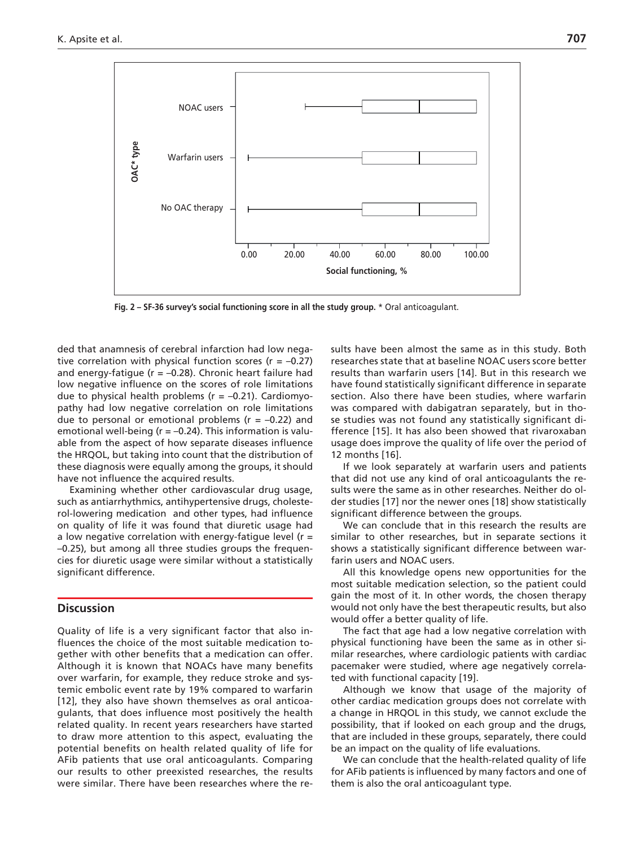

**Fig. 2 – SF-36 survey's social functioning score in all the study group.** \* Oral anticoagulant.

ded that anamnesis of cerebral infarction had low negative correlation with physical function scores ( $r = -0.27$ ) and energy-fatigue ( $r = -0.28$ ). Chronic heart failure had low negative influence on the scores of role limitations due to physical health problems ( $r = -0.21$ ). Cardiomyopathy had low negative correlation on role limitations due to personal or emotional problems ( $r = -0.22$ ) and emotional well-being ( $r = -0.24$ ). This information is valuable from the aspect of how separate diseases influence the HRQOL, but taking into count that the distribution of these diagnosis were equally among the groups, it should have not influence the acquired results.

Examining whether other cardiovascular drug usage, such as antiarrhythmics, antihypertensive drugs, cholesterol-lowering medication and other types, had influence on quality of life it was found that diuretic usage had a low negative correlation with energy-fatigue level ( $r =$ –0.25), but among all three studies groups the frequencies for diuretic usage were similar without a statistically significant difference.

## **Discussion**

Quality of life is a very significant factor that also influences the choice of the most suitable medication together with other benefits that a medication can offer. Although it is known that NOACs have many benefits over warfarin, for example, they reduce stroke and systemic embolic event rate by 19% compared to warfarin [12], they also have shown themselves as oral anticoagulants, that does influence most positively the health related quality. In recent years researchers have started to draw more attention to this aspect, evaluating the potential benefits on health related quality of life for AFib patients that use oral anticoagulants. Comparing our results to other preexisted researches, the results were similar. There have been researches where the results have been almost the same as in this study. Both researches state that at baseline NOAC users score better results than warfarin users [14]. But in this research we have found statistically significant difference in separate section. Also there have been studies, where warfarin was compared with dabigatran separately, but in those studies was not found any statistically significant difference [15]. It has also been showed that rivaroxaban usage does improve the quality of life over the period of 12 months [16].

If we look separately at warfarin users and patients that did not use any kind of oral anticoagulants the results were the same as in other researches. Neither do older studies [17] nor the newer ones [18] show statistically significant difference between the groups.

We can conclude that in this research the results are similar to other researches, but in separate sections it shows a statistically significant difference between warfarin users and NOAC users.

All this knowledge opens new opportunities for the most suitable medication selection, so the patient could gain the most of it. In other words, the chosen therapy would not only have the best therapeutic results, but also would offer a better quality of life.

The fact that age had a low negative correlation with physical functioning have been the same as in other similar researches, where cardiologic patients with cardiac pacemaker were studied, where age negatively correlated with functional capacity [19].

Although we know that usage of the majority of other cardiac medication groups does not correlate with a change in HRQOL in this study, we cannot exclude the possibility, that if looked on each group and the drugs, that are included in these groups, separately, there could be an impact on the quality of life evaluations.

We can conclude that the health-related quality of life for AFib patients is influenced by many factors and one of them is also the oral anticoagulant type.